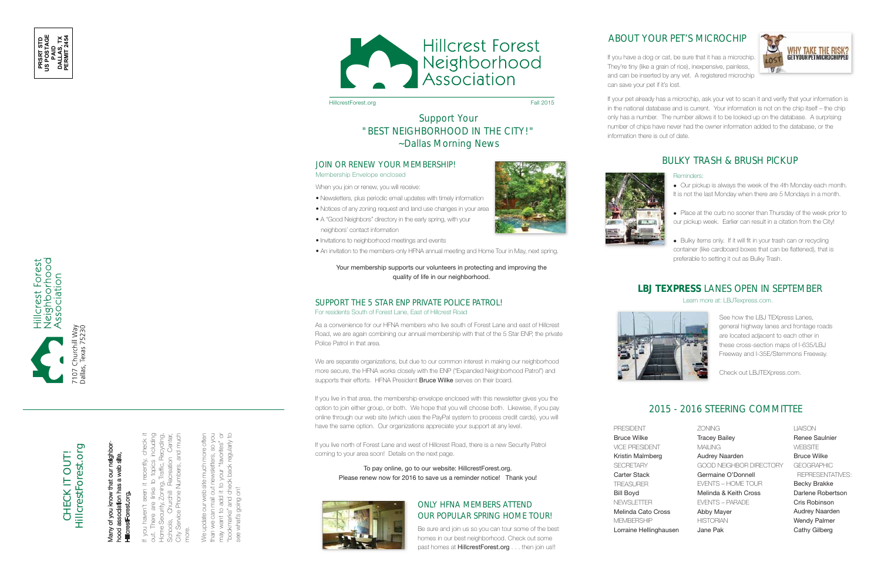We update our web site much more often than we can mail out newsletters, so you may want to add it to your "favorites" or "bookmarks" and check back regularly to "favori to add it to your see what's going on! and ch Ve update we ca<br>want 1 nan<br>∂



HillcrestForest.org Fall 2015

If you haven't seen it recently, check it out. There are links to topics including Home Security, Zoning, Traffic, Recycling, Schools, Churchill Recreation Center, City Service Phone Numbers, and much you haven't seen more.

#### JOIN OR RENEW YOUR MEMBERSHIP! Membership Envelope enclosed



# Many of you know that our neighborhood association has a web site, a web HillcrestForest.org. of you Many<br>hood



Hillcrest Forest<br>Neighborhood<br>Association

### SUPPORT THE 5 STAR ENP PRIVATE POLICE PATROL! For residents South of Forest Lane, East of Hillcrest Road

Be sure and join us so you can tour some of the best homes in our best neighborhood. Check out some past homes at **HillcrestForest.org** . . . then join us!!







# Support Your "BEST NEIGHBORHOOD IN THE CITY!" ~*Dallas Morning News*

When you join or renew, you will receive:

We are separate organizations, but due to our common interest in making our neighborhood more secure, the HFNA works closely with the ENP ("Expanded Neighborhood Patrol") and supports their efforts. HFNA President Bruce Wilke serves on their board.

- Newsletters, plus periodic email updates with timely information
- Notices of any zoning request and land use changes in your area
- A "Good Neighbors" directory in the early spring, with your neighbors' contact information
- Invitations to neighborhood meetings and events
- An invitation to the members-only HFNA annual meeting and Home Tour in May, next spring.

Your membership supports our volunteers in protecting and improving the quality of life in our neighborhood.

#### To pay online, go to our website: HillcrestForest.org. Please renew now for 2016 to save us a reminder notice! Thank you!



## ONLY HFNA MEMBERS ATTEND OUR POPULAR SPRING HOME TOUR!

 Our pickup is always the week of the 4th Monday each month. It is not the last Monday when there are 5 Mondays in a month.

• Place at the curb no sooner than Thursday of the week prior to our pickup week. Earlier can result in a citation from the City!

As a convenience for our HFNA members who live south of Forest Lane and east of Hillcrest Road, we are again combining our annual membership with that of the 5 Star ENP, the private Police Patrol in that area.

• Bulky items only. If it will fit in your trash can or recycling container (like cardboard boxes that can be flattened), that is preferable to setting it out as Bulky Trash.

If you live in that area, the membership envelope enclosed with this newsletter gives you the option to join either group, or both. We hope that you will choose both. Likewise, if you pay online through our web site (which uses the PayPal system to process credit cards), you will have the same option. Our organizations appreciate your support at any level.

If you live north of Forest Lane and west of Hillcrest Road, there is a new Security Patrol coming to your area soon! Details on the next page.

# 2015 - 2016 STEERING COMMITTEE

PRESIDENT Bruce Wilke VICE PRESIDENT Kristin Malmberg **SECRETARY** Carter Stack TREASURER Bill Boyd **NEWSLETTER** Melinda Cato Cross **MEMBERSHIP** Lorraine Hellinghausen



ZONING Tracey Bailey MAILING Audrey Naarden GOOD NEIGHBOR DIRECTORY Germaine O'Donnell EVENTS – HOME TOUR Melinda & Keith Cross EVENTS – PARADE Abby Mayer **HISTORIAN** Jane Pak

LIAISON Renee Saulnier **WEBSITE** Bruce Wilke **GEOGRAPHIC**  REPRESENTATIVES: Becky Brakke Darlene Robertson Cris Robinson Audrey Naarden Wendy Palmer Cathy Gilberg

#### Reminders:

If you have a dog or cat, be sure that it has a microchip. They're tiny (like a grain of rice), inexpensive, painless, and can be inserted by any vet. A registered microchip can save your pet if it's lost.



# ABOUT YOUR PET'S MICROCHIP

# BULKY TRASH & BRUSH PICKUP



If your pet already has a microchip, ask your vet to scan it and verify that your information is in the national database and is current. Your information is not on the chip itself – the chip only has a number. The number allows it to be looked up on the database. A surprising number of chips have never had the owner information added to the database, or the information there is out of date.

## **LBJ TEXPRESS** LANES OPEN IN SEPTEMBER

See how the LBJ TEXpress Lanes, general highway lanes and frontage roads are located adjacent to each other in these cross-section maps of I-635/LBJ Freeway and I-35E/Stemmons Freeway.

Check out LBJTEXpress.com.

Learn more at: LBJTexpress.com.